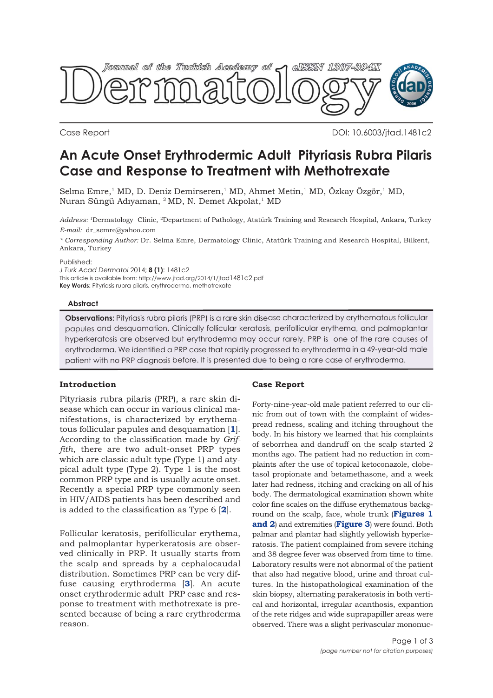

Case Report DOI: 10.6003/jtad.1481c2

# **An Acute Onset Erythrodermic Adult Pityriasis Rubra Pilaris Case and Response to Treatment with Methotrexate**

Selma Emre,<sup>1</sup> MD, D. Deniz Demirseren,<sup>1</sup> MD, Ahmet Metin,<sup>1</sup> MD, Özkay Özgör,<sup>1</sup> MD, Nuran Süngü Adıyaman, <sup>2</sup> MD, N. Demet Akpolat,<sup>1</sup> MD

*Address:* 1Dermatology Clinic, 2Department of Pathology, Atatürk Training and Research Hospital, Ankara, Turkey *E-mail:* dr\_semre@yahoo.com

*\* Corresponding Author:* Dr. Selma Emre, Dermatology Clinic, Atatürk Training and Research Hospital, Bilkent, Ankara, Turkey

Published:

*J Turk Acad Dermatol* 2014; **8 (1)**: 1481c2 This article is available from: http://www.jtad.org/2014/1/jtad1481c2.pdf **Key Words:** Pityriasis rubra pilaris, erythroderma, methotrexate

### **Abstract**

**Observations:** Pityriasis rubra pilaris (PRP) is a rare skin disease characterized by erythematous follicular papules and desquamation. Clinically follicular keratosis, perifollicular erythema, and palmoplantar hyperkeratosis are observed but erythroderma may occur rarely. PRP is one of the rare causes of erythroderma. We identified a PRP case that rapidly progressed to erythroderma in a 49-year-old male patient with no PRP diagnosis before. It is presented due to being a rare case of erythroderma.

## **Introduction**

Pityriasis rubra pilaris (PRP), a rare skin disease which can occur in various clinical manifestations, is characterized by erythematous follicular papules and desquamation [**1**]. According to the classification made by *Griffith*, there are two adult-onset PRP types which are classic adult type (Type 1) and atypical adult type (Type 2). Type 1 is the most common PRP type and is usually acute onset. Recently a special PRP type commonly seen in HIV/AIDS patients has been described and is added to the classification as Type 6 [**2**].

Follicular keratosis, perifollicular erythema, and palmoplantar hyperkeratosis are observed clinically in PRP. It usually starts from the scalp and spreads by a cephalocaudal distribution. Sometimes PRP can be very diffuse causing erythroderma [**3**]. An acute onset erythrodermic adult PRP case and response to treatment with methotrexate is presented because of being a rare erythroderma reason.

### **Case Report**

Forty-nine-year-old male patient referred to our clinic from out of town with the complaint of widespread redness, scaling and itching throughout the body. In his history we learned that his complaints of seborrhea and dandruff on the scalp started 2 months ago. The patient had no reduction in complaints after the use of topical ketoconazole, clobetasol propionate and betamethasone, and a week later had redness, itching and cracking on all of his body. The dermatological examination shown white color fine scales on the diffuse erythematous background on the scalp, face, whole trunk (**Figures 1 and 2**) and extremities (**Figure 3**) were found. Both palmar and plantar had slightly yellowish hyperkeratosis. The patient complained from severe itching and 38 degree fever was observed from time to time. Laboratory results were not abnormal of the patient that also had negative blood, urine and throat cultures. In the histopathological examination of the skin biopsy, alternating parakeratosis in both vertical and horizontal, irregular acanthosis, expantion of the rete ridges and wide suprapapiller areas were observed. There was a slight perivascular mononuc-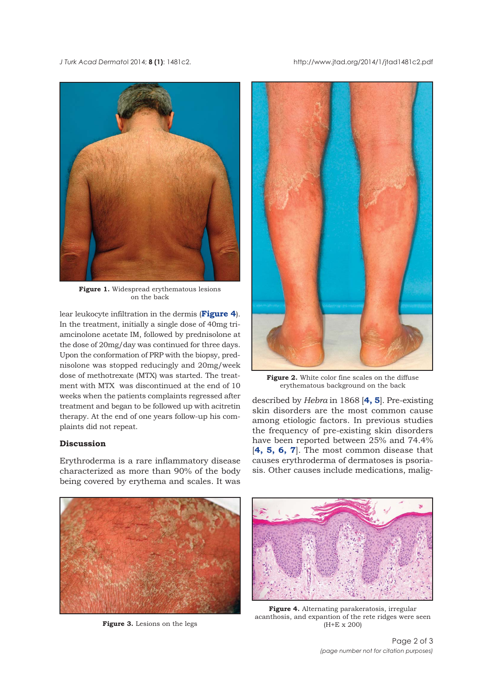*J Turk Acad Dermato*l 2014; **8 (1)**: 1481c2. http://www.jtad.org/2014/1/jtad1481c2.pdf



**Figure 1.** Widespread erythematous lesions on the back

lear leukocyte infiltration in the dermis (**Figure 4**). In the treatment, initially a single dose of 40mg triamcinolone acetate IM, followed by prednisolone at the dose of 20mg/day was continued for three days. Upon the conformation of PRP with the biopsy, prednisolone was stopped reducingly and 20mg/week dose of methotrexate (MTX) was started. The treatment with MTX was discontinued at the end of 10 weeks when the patients complaints regressed after treatment and began to be followed up with acitretin therapy. At the end of one years follow-up his complaints did not repeat.

## **Discussion**

Erythroderma is a rare inflammatory disease characterized as more than 90% of the body being covered by erythema and scales. It was



**Figure 2.** White color fine scales on the diffuse erythematous background on the back

described by *Hebra* in 1868 [**4, 5**]. Pre-existing skin disorders are the most common cause among etiologic factors. In previous studies the frequency of pre-existing skin disorders have been reported between 25% and 74.4% [**4, 5, 6, 7**]. The most common disease that causes erythroderma of dermatoses is psoriasis. Other causes include medications, malig-



**Figure 3.** Lesions on the legs



**Figure 4.** Alternating parakeratosis, irregular acanthosis, and expantion of the rete ridges were seen (H+E x 200)

Page 2 of 3 *(page number not for citation purposes)*